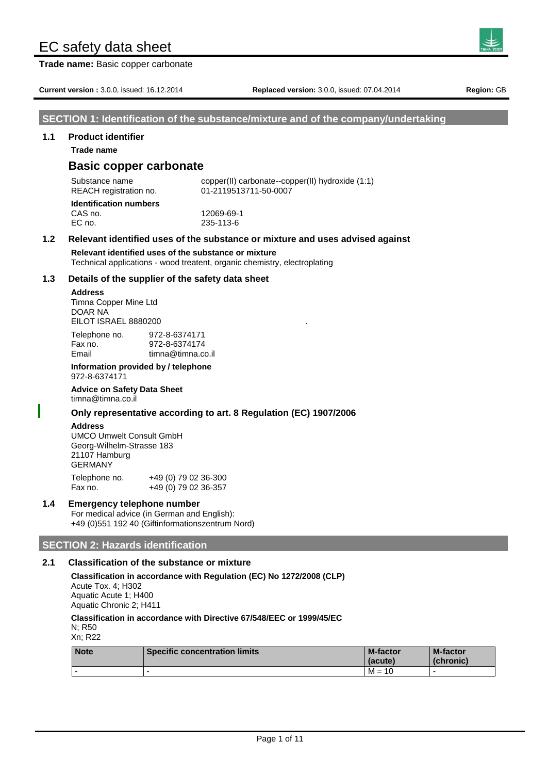**Trade name:** Basic copper carbonate

**Current version :** 3.0.0, issued: 16.12.2014 **Replaced version:** 3.0.0, issued: 07.04.2014 **Region:** GB

# **SECTION 1: Identification of the substance/mixture and of the company/undertaking**

# **1.1 Product identifier**

**Trade name**

# **Basic copper carbonate**

Substance name copper(II) carbonate--copper(II) hydroxide (1:1) REACH registration no. 01-2119513711-50-0007 **Identification numbers**

CAS no. 12069-69-1 EC no. 235-113-6

# **1.2 Relevant identified uses of the substance or mixture and uses advised against**

**Relevant identified uses of the substance or mixture**

Technical applications - wood treatent, organic chemistry, electroplating

# **1.3 Details of the supplier of the safety data sheet**

### **Address**

Timna Copper Mine Ltd DOAR NA EILOT ISRAEL 8880200

| Telephone no. | 972-8-6374171     |
|---------------|-------------------|
| Fax no.       | 972-8-6374174     |
| Email         | timna@timna.co.il |

#### **Information provided by / telephone** 972-8-6374171

**Advice on Safety Data Sheet** timna@timna.co.il

# **Only representative according to art. 8 Regulation (EC) 1907/2006**

# **Address**

UMCO Umwelt Consult GmbH Georg-Wilhelm-Strasse 183 21107 Hamburg GERMANY

Telephone no. +49 (0) 79 02 36-300 Fax no. +49 (0) 79 02 36-357

# **1.4 Emergency telephone number**

For medical advice (in German and English): +49 (0)551 192 40 (Giftinformationszentrum Nord)

# **SECTION 2: Hazards identification**

# **2.1 Classification of the substance or mixture**

**Classification in accordance with Regulation (EC) No 1272/2008 (CLP)** Acute Tox. 4; H302 Aquatic Acute 1; H400 Aquatic Chronic 2; H411

**Classification in accordance with Directive 67/548/EEC or 1999/45/EC** N; R50

Xn; R22

| <b>Note</b> | <b>Specific concentration limits</b> | <b>M-factor</b><br>(acute) | <b>M-factor</b><br>(chronic) |
|-------------|--------------------------------------|----------------------------|------------------------------|
|             |                                      | $M =$<br>10                |                              |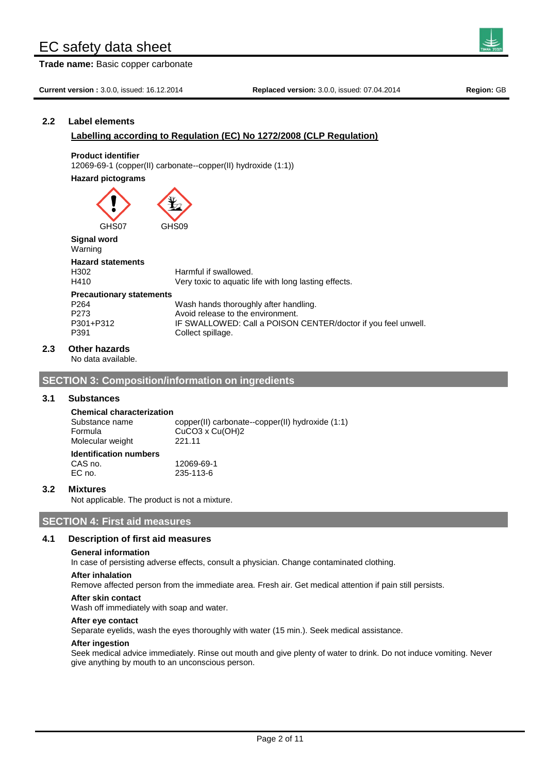**Trade name:** Basic copper carbonate

**Current version :** 3.0.0, issued: 16.12.2014 **Replaced version:** 3.0.0, issued: 07.04.2014 **Region:** GB

# **2.2 Label elements**

# **Labelling according to Regulation (EC) No 1272/2008 (CLP Regulation)**

## **Product identifier**

12069-69-1 (copper(II) carbonate--copper(II) hydroxide (1:1))

### **Hazard pictograms**

GHS07 GHS09

**Signal word** Warning

# **Hazard statements**

# H302 Harmful if swallowed.

H410 Very toxic to aquatic life with long lasting effects. **Precautionary statements** P264 Wash hands thoroughly after handling.<br>P273 Avoid release to the environment. Avoid release to the environment. P301+P312 IF SWALLOWED: Call a POISON CENTER/doctor if you feel unwell. P391 Collect spillage.

# **2.3 Other hazards**

No data available.

# **SECTION 3: Composition/information on ingredients**

# **3.1 Substances**

**Chemical characterization** Substance name copper(II) carbonate--copper(II) hydroxide (1:1) Formula CuCO3 x Cu(OH)2 Molecular weight 221.11 **Identification numbers** CAS no. 12069-69-1

# **3.2 Mixtures**

Not applicable. The product is not a mixture.

EC no. 235-113-6

# **SECTION 4: First aid measures**

# **4.1 Description of first aid measures**

### **General information**

In case of persisting adverse effects, consult a physician. Change contaminated clothing.

# **After inhalation**

Remove affected person from the immediate area. Fresh air. Get medical attention if pain still persists.

### **After skin contact**

Wash off immediately with soap and water.

### **After eye contact**

Separate eyelids, wash the eyes thoroughly with water (15 min.). Seek medical assistance.

### **After ingestion**

Seek medical advice immediately. Rinse out mouth and give plenty of water to drink. Do not induce vomiting. Never give anything by mouth to an unconscious person.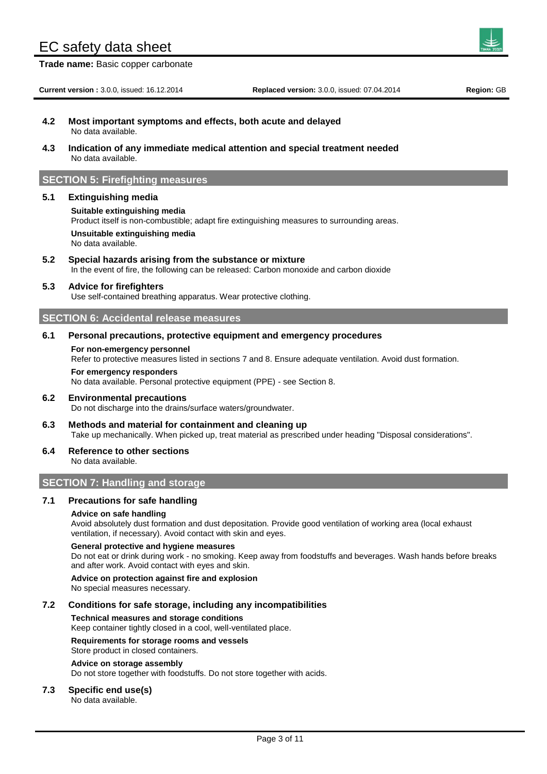**Trade name:** Basic copper carbonate

- **4.2 Most important symptoms and effects, both acute and delayed** No data available.
- **4.3 Indication of any immediate medical attention and special treatment needed** No data available.

# **SECTION 5: Firefighting measures**

### **5.1 Extinguishing media**

#### **Suitable extinguishing media**

Product itself is non-combustible; adapt fire extinguishing measures to surrounding areas.

**Unsuitable extinguishing media** No data available.

**5.2 Special hazards arising from the substance or mixture** In the event of fire, the following can be released: Carbon monoxide and carbon dioxide

# **5.3 Advice for firefighters**

Use self-contained breathing apparatus. Wear protective clothing.

# **SECTION 6: Accidental release measures**

# **6.1 Personal precautions, protective equipment and emergency procedures**

**For non-emergency personnel** Refer to protective measures listed in sections 7 and 8. Ensure adequate ventilation. Avoid dust formation. **For emergency responders** No data available. Personal protective equipment (PPE) - see Section 8.

### **6.2 Environmental precautions**

Do not discharge into the drains/surface waters/groundwater.

**6.3 Methods and material for containment and cleaning up** Take up mechanically. When picked up, treat material as prescribed under heading "Disposal considerations".

### **6.4 Reference to other sections**

No data available.

# **SECTION 7: Handling and storage**

# **7.1 Precautions for safe handling**

# **Advice on safe handling**

Avoid absolutely dust formation and dust depositation. Provide good ventilation of working area (local exhaust ventilation, if necessary). Avoid contact with skin and eyes.

#### **General protective and hygiene measures**

Do not eat or drink during work - no smoking. Keep away from foodstuffs and beverages. Wash hands before breaks and after work. Avoid contact with eyes and skin.

### **Advice on protection against fire and explosion**

No special measures necessary.

### **7.2 Conditions for safe storage, including any incompatibilities**

### **Technical measures and storage conditions**

Keep container tightly closed in a cool, well-ventilated place.

#### **Requirements for storage rooms and vessels**

Store product in closed containers.

#### **Advice on storage assembly**

Do not store together with foodstuffs. Do not store together with acids.

# **7.3 Specific end use(s)**

No data available.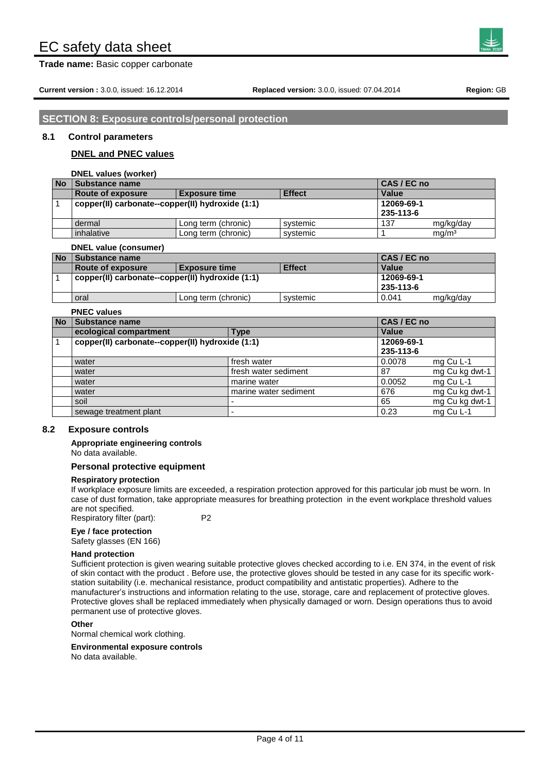**Trade name:** Basic copper carbonate

# **SECTION 8: Exposure controls/personal protection**

# **8.1 Control parameters**

# **DNEL and PNEC values**

**DNEL values (worker)**

| <b>No</b> | <b>Substance name</b>                                             | CAS / EC no         |          |              |                   |
|-----------|-------------------------------------------------------------------|---------------------|----------|--------------|-------------------|
|           | <b>Effect</b><br><b>Route of exposure</b><br><b>Exposure time</b> |                     |          | <b>Value</b> |                   |
|           | copper(II) carbonate--copper(II) hydroxide (1:1)                  |                     |          |              |                   |
|           | 235-113-6                                                         |                     |          |              |                   |
|           | dermal                                                            | Long term (chronic) | svstemic | 137          | mg/kg/day         |
|           | inhalative                                                        | Long term (chronic) | svstemic |              | mq/m <sup>3</sup> |

#### **DNEL value (consumer)**

| <b>No</b> | Substance name                                             |                     |          | CAS / EC no  |           |
|-----------|------------------------------------------------------------|---------------------|----------|--------------|-----------|
|           | <b>Effect</b><br>Route of exposure<br><b>Exposure time</b> |                     |          | <b>Value</b> |           |
|           | copper(II) carbonate--copper(II) hydroxide (1:1)           |                     |          | 12069-69-1   |           |
|           |                                                            |                     |          | 235-113-6    |           |
|           | oral                                                       | Long term (chronic) | systemic | 0.041        | mg/kg/day |

### **PNEC values**

| <b>No</b> | Substance name                                   |                       | CAS / EC no |                |
|-----------|--------------------------------------------------|-----------------------|-------------|----------------|
|           | ecological compartment                           | Type                  | Value       |                |
|           | copper(II) carbonate--copper(II) hydroxide (1:1) |                       | 12069-69-1  |                |
|           |                                                  |                       | 235-113-6   |                |
|           | water                                            | fresh water           | 0.0078      | mg Cu L-1      |
|           | water                                            | fresh water sediment  | 87          | mg Cu kg dwt-1 |
|           | water                                            | marine water          | 0.0052      | mg Cu L-1      |
|           | water                                            | marine water sediment | 676         | mg Cu kg dwt-1 |
|           | soil                                             |                       | 65          | mg Cu kg dwt-1 |
|           | sewage treatment plant                           |                       | 0.23        | mg Cu L-1      |

## **8.2 Exposure controls**

**Appropriate engineering controls** No data available.

# **Personal protective equipment**

### **Respiratory protection**

If workplace exposure limits are exceeded, a respiration protection approved for this particular job must be worn. In case of dust formation, take appropriate measures for breathing protection in the event workplace threshold values are not specified. Respiratory filter (part): P2

# **Eye / face protection**

Safety glasses (EN 166)

#### **Hand protection**

Sufficient protection is given wearing suitable protective gloves checked according to i.e. EN 374, in the event of risk of skin contact with the product . Before use, the protective gloves should be tested in any case for its specific workstation suitability (i.e. mechanical resistance, product compatibility and antistatic properties). Adhere to the manufacturer's instructions and information relating to the use, storage, care and replacement of protective gloves. Protective gloves shall be replaced immediately when physically damaged or worn. Design operations thus to avoid permanent use of protective gloves.

#### **Other**

Normal chemical work clothing.

### **Environmental exposure controls**

No data available.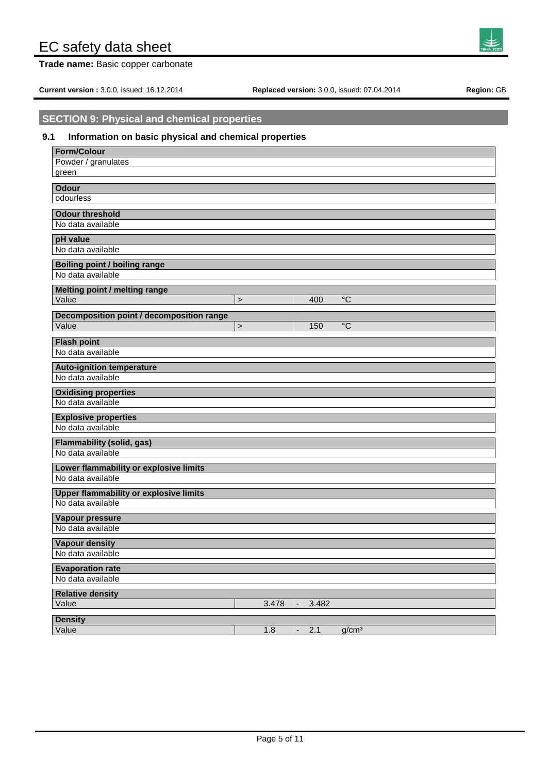**Trade name:** Basic copper carbonate

**Current version :** 3.0.0, issued: 16.12.2014 **Replaced version:** 3.0.0, issued: 07.04.2014 **Region:** GB

# **SECTION 9: Physical and chemical properties**

# **9.1 Information on basic physical and chemical properties**

| <b>Form/Colour</b>                            |        |                          |       |                   |
|-----------------------------------------------|--------|--------------------------|-------|-------------------|
| Powder / granulates                           |        |                          |       |                   |
| green                                         |        |                          |       |                   |
| <b>Odour</b>                                  |        |                          |       |                   |
| odourless                                     |        |                          |       |                   |
|                                               |        |                          |       |                   |
| <b>Odour threshold</b>                        |        |                          |       |                   |
| No data available                             |        |                          |       |                   |
| pH value                                      |        |                          |       |                   |
| No data available                             |        |                          |       |                   |
| <b>Boiling point / boiling range</b>          |        |                          |       |                   |
| No data available                             |        |                          |       |                   |
|                                               |        |                          |       |                   |
| Melting point / melting range                 |        |                          |       |                   |
| Value                                         | $\geq$ |                          | 400   | $\overline{C}$    |
| Decomposition point / decomposition range     |        |                          |       |                   |
| Value                                         | $\geq$ |                          | 150   | $\rm ^{\circ}C$   |
| <b>Flash point</b>                            |        |                          |       |                   |
| No data available                             |        |                          |       |                   |
|                                               |        |                          |       |                   |
| <b>Auto-ignition temperature</b>              |        |                          |       |                   |
| No data available                             |        |                          |       |                   |
| <b>Oxidising properties</b>                   |        |                          |       |                   |
| No data available                             |        |                          |       |                   |
| <b>Explosive properties</b>                   |        |                          |       |                   |
| No data available                             |        |                          |       |                   |
|                                               |        |                          |       |                   |
| <b>Flammability (solid, gas)</b>              |        |                          |       |                   |
| No data available                             |        |                          |       |                   |
| Lower flammability or explosive limits        |        |                          |       |                   |
| No data available                             |        |                          |       |                   |
| <b>Upper flammability or explosive limits</b> |        |                          |       |                   |
| No data available                             |        |                          |       |                   |
|                                               |        |                          |       |                   |
| Vapour pressure<br>No data available          |        |                          |       |                   |
|                                               |        |                          |       |                   |
| <b>Vapour density</b>                         |        |                          |       |                   |
| No data available                             |        |                          |       |                   |
| <b>Evaporation rate</b>                       |        |                          |       |                   |
| No data available                             |        |                          |       |                   |
| <b>Relative density</b>                       |        |                          |       |                   |
| Value                                         | 3.478  | $\blacksquare$           | 3.482 |                   |
|                                               |        |                          |       |                   |
| <b>Density</b>                                |        |                          |       |                   |
| Value                                         | 1.8    | $\overline{\phantom{m}}$ | 2.1   | g/cm <sup>3</sup> |

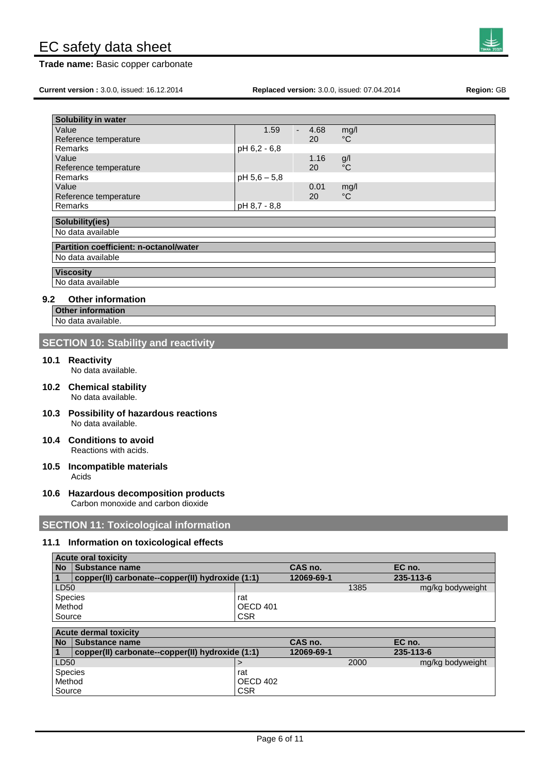**Trade name:** Basic copper carbonate

**Current version :** 3.0.0, issued: 16.12.2014 **Replaced version:** 3.0.0, issued: 07.04.2014 **Region:** GB

**SECTION 10: Stability and reactivity**

**Partition coefficient: n-octanol/water**

**10.1 Reactivity**

**Solubility(ies)** No data available

No data available

**9.2 Other information Other information** No data available.

**Viscosity**  No data available

No data available.

- **10.2 Chemical stability** No data available.
- **10.3 Possibility of hazardous reactions** No data available.
- **10.4 Conditions to avoid** Reactions with acids.

**Acute oral toxicity** 

- **10.5 Incompatible materials** Acids
- **10.6 Hazardous decomposition products** Carbon monoxide and carbon dioxide

# **SECTION 11: Toxicological information**

Source CSR

# **11.1 Information on toxicological effects**

| <b>No</b>      | <b>Substance name</b>                            |            | CAS no.    |      | EC no.           |
|----------------|--------------------------------------------------|------------|------------|------|------------------|
|                | copper(II) carbonate--copper(II) hydroxide (1:1) |            | 12069-69-1 |      | 235-113-6        |
| LD50           |                                                  |            |            | 1385 | mg/kg bodyweight |
| Species        |                                                  | rat        |            |      |                  |
| Method         |                                                  | OECD 401   |            |      |                  |
| Source         |                                                  | <b>CSR</b> |            |      |                  |
|                |                                                  |            |            |      |                  |
|                | <b>Acute dermal toxicity</b>                     |            |            |      |                  |
| <b>No</b>      | <b>Substance name</b>                            |            | CAS no.    |      | EC no.           |
|                | copper(II) carbonate--copper(II) hydroxide (1:1) |            | 12069-69-1 |      | 235-113-6        |
| LD50           |                                                  | $\geq$     |            | 2000 | mg/kg bodyweight |
| <b>Species</b> |                                                  | rat        |            |      |                  |
|                | Method                                           | OECD 402   |            |      |                  |



| Solubility in water   |              |      |     |
|-----------------------|--------------|------|-----|
| Value                 | 1.59         | 4.68 | mq/ |
| Reference temperature |              | 20   | °C  |
| Remarks               | pH 6.2 - 6.8 |      |     |
| Value                 |              | 1.16 |     |

Remarks  $\vert$  pH 5,6 – 5,8

Remarks pH 8,7 - 8,8

Value  $1.16$  g/l Reference temperature 20  $^{1}$  20  $^{1}$   $^{2}$  C

Value 0.01 mg/l Reference temperature 20 °C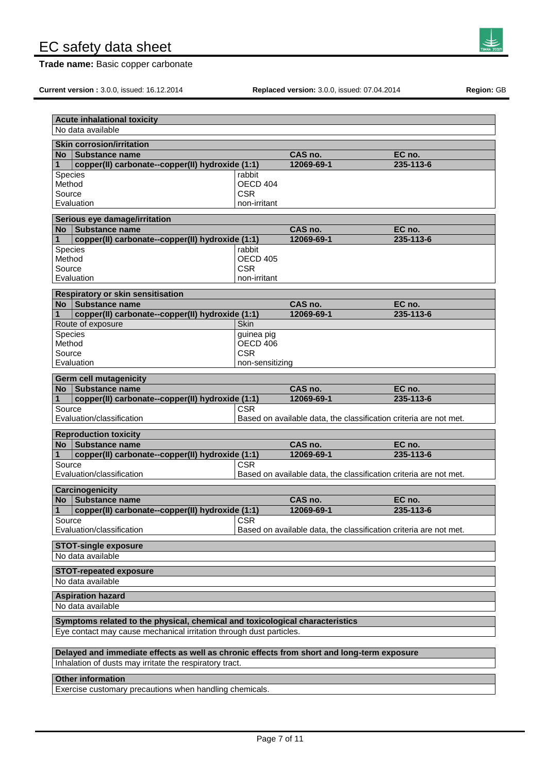**Trade name:** Basic copper carbonate



**Current version :** 3.0.0, issued: 16.12.2014 **Replaced version:** 3.0.0, issued: 07.04.2014 **Region:** GB

|                  | <b>Acute inhalational toxicity</b>                                                         |                        |                                                                   |           |
|------------------|--------------------------------------------------------------------------------------------|------------------------|-------------------------------------------------------------------|-----------|
|                  | No data available                                                                          |                        |                                                                   |           |
|                  | <b>Skin corrosion/irritation</b>                                                           |                        |                                                                   |           |
| <b>No</b>        | <b>Substance name</b>                                                                      |                        | CAS no.                                                           | EC no.    |
| 1                | copper(II) carbonate--copper(II) hydroxide (1:1)                                           |                        | 12069-69-1                                                        | 235-113-6 |
| Species          |                                                                                            | rabbit                 |                                                                   |           |
| Method<br>Source |                                                                                            | OECD 404<br><b>CSR</b> |                                                                   |           |
|                  | Evaluation                                                                                 | non-irritant           |                                                                   |           |
|                  |                                                                                            |                        |                                                                   |           |
| No.              | Serious eye damage/irritation<br><b>Substance name</b>                                     |                        | CAS no.                                                           | EC no.    |
| 1                | copper(II) carbonate--copper(II) hydroxide (1:1)                                           |                        | 12069-69-1                                                        | 235-113-6 |
| <b>Species</b>   |                                                                                            | rabbit                 |                                                                   |           |
| Method           |                                                                                            | OECD 405               |                                                                   |           |
| Source           |                                                                                            | <b>CSR</b>             |                                                                   |           |
|                  | Evaluation                                                                                 | non-irritant           |                                                                   |           |
|                  | <b>Respiratory or skin sensitisation</b>                                                   |                        |                                                                   |           |
| No l             | Substance name                                                                             |                        | CAS no.                                                           | EC no.    |
| 1                | copper(II) carbonate--copper(II) hydroxide (1:1)                                           |                        | 12069-69-1                                                        | 235-113-6 |
|                  | Route of exposure                                                                          | Skin                   |                                                                   |           |
| Species          |                                                                                            | guinea pig             |                                                                   |           |
| Method           |                                                                                            | OECD 406               |                                                                   |           |
| Source           |                                                                                            | <b>CSR</b>             |                                                                   |           |
|                  | Evaluation                                                                                 | non-sensitizing        |                                                                   |           |
|                  | <b>Germ cell mutagenicity</b>                                                              |                        |                                                                   |           |
| <b>No</b>        | Substance name                                                                             |                        | CAS no.                                                           | EC no.    |
| 1                | copper(II) carbonate--copper(II) hydroxide (1:1)                                           |                        | 12069-69-1                                                        | 235-113-6 |
| Source           | Evaluation/classification                                                                  | <b>CSR</b>             | Based on available data, the classification criteria are not met. |           |
|                  | <b>Reproduction toxicity</b>                                                               |                        |                                                                   |           |
| No l             | <b>Substance name</b>                                                                      |                        | CAS no.                                                           | EC no.    |
| $\mathbf{1}$     | copper(II) carbonate--copper(II) hydroxide (1:1)                                           |                        | 12069-69-1                                                        | 235-113-6 |
| Source           |                                                                                            | CSR.                   |                                                                   |           |
|                  | Evaluation/classification                                                                  |                        | Based on available data, the classification criteria are not met. |           |
|                  | Carcinogenicity                                                                            |                        |                                                                   |           |
| <b>No</b>        | <b>Substance name</b>                                                                      |                        | CAS no.                                                           | EC no.    |
| 1                | copper(II) carbonate--copper(II) hydroxide (1:1)                                           |                        | 12069-69-1                                                        | 235-113-6 |
| Source           | Evaluation/classification                                                                  | $ $ CSR                | Based on available data, the classification criteria are not met. |           |
|                  | <b>STOT-single exposure</b>                                                                |                        |                                                                   |           |
|                  | No data available                                                                          |                        |                                                                   |           |
|                  | <b>STOT-repeated exposure</b>                                                              |                        |                                                                   |           |
|                  | No data available                                                                          |                        |                                                                   |           |
|                  | <b>Aspiration hazard</b>                                                                   |                        |                                                                   |           |
|                  | No data available                                                                          |                        |                                                                   |           |
|                  | Symptoms related to the physical, chemical and toxicological characteristics               |                        |                                                                   |           |
|                  | Eye contact may cause mechanical irritation through dust particles.                        |                        |                                                                   |           |
|                  |                                                                                            |                        |                                                                   |           |
|                  | Delayed and immediate effects as well as chronic effects from short and long-term exposure |                        |                                                                   |           |
|                  | Inhalation of dusts may irritate the respiratory tract.                                    |                        |                                                                   |           |
|                  | <b>Other information</b>                                                                   |                        |                                                                   |           |

Exercise customary precautions when handling chemicals.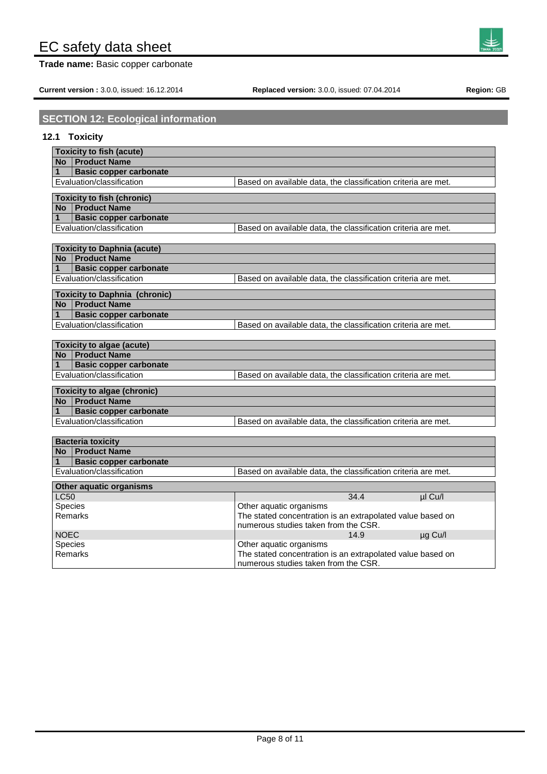**Trade name:** Basic copper carbonate

**Current version :** 3.0.0, issued: 16.12.2014 **Replaced version:** 3.0.0, issued: 07.04.2014 **Region:** GB

| <b>SECTION 12: Ecological information</b> |  |
|-------------------------------------------|--|
|-------------------------------------------|--|

# **12.1 Toxicity**

|              | <b>Toxicity to fish (acute)</b>      |                                                               |
|--------------|--------------------------------------|---------------------------------------------------------------|
|              | No   Product Name                    |                                                               |
| 1            | <b>Basic copper carbonate</b>        |                                                               |
|              | Evaluation/classification            | Based on available data, the classification criteria are met. |
|              | <b>Toxicity to fish (chronic)</b>    |                                                               |
|              | No Product Name                      |                                                               |
| $\mathbf{1}$ | <b>Basic copper carbonate</b>        |                                                               |
|              | Evaluation/classification            | Based on available data, the classification criteria are met. |
|              |                                      |                                                               |
|              | <b>Toxicity to Daphnia (acute)</b>   |                                                               |
|              | No   Product Name                    |                                                               |
| 1            | <b>Basic copper carbonate</b>        |                                                               |
|              | Evaluation/classification            | Based on available data, the classification criteria are met. |
|              | <b>Toxicity to Daphnia (chronic)</b> |                                                               |
|              | No   Product Name                    |                                                               |
| 1            | <b>Basic copper carbonate</b>        |                                                               |
|              | Evaluation/classification            | Based on available data, the classification criteria are met. |
|              |                                      |                                                               |
|              | <b>Toxicity to algae (acute)</b>     |                                                               |
|              | No   Product Name                    |                                                               |
| 1            | <b>Basic copper carbonate</b>        |                                                               |
|              | Evaluation/classification            | Based on available data, the classification criteria are met. |
|              | <b>Toxicity to algae (chronic)</b>   |                                                               |
|              | No   Product Name                    |                                                               |
| 1            | <b>Basic copper carbonate</b>        |                                                               |
|              | Evaluation/classification            | Based on available data, the classification criteria are met. |
|              |                                      |                                                               |
|              | <b>Bacteria toxicity</b>             |                                                               |
|              | No   Product Name                    |                                                               |
| 1            | <b>Basic copper carbonate</b>        |                                                               |
|              | Evaluation/classification            | Based on available data, the classification criteria are met. |
|              | Other aquatic organisms              |                                                               |
| <b>LC50</b>  |                                      | 34.4<br>µl Cu/l                                               |
| Species      |                                      | Other aquatic organisms                                       |
|              | Remarks                              | The stated concentration is an extrapolated value based on    |
|              |                                      | numerous studies taken from the CSR.                          |
| <b>NOEC</b>  |                                      | 14.9<br>µg Cu/l                                               |
| Species      |                                      | Other aquatic organisms                                       |
|              | Remarks                              | The stated concentration is an extrapolated value based on    |
|              |                                      | numerous studies taken from the CSR.                          |

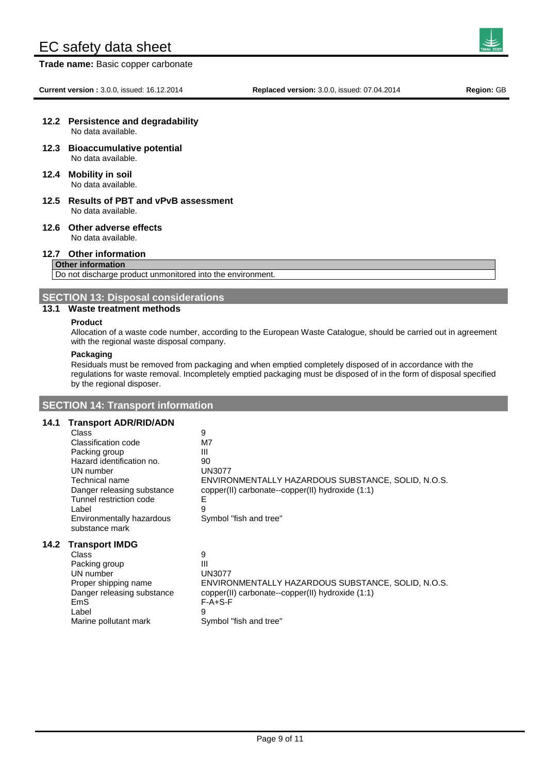**Trade name:** Basic copper carbonate

#### **12.2 Persistence and degradability** No data available.

- **12.3 Bioaccumulative potential** No data available.
- **12.4 Mobility in soil** No data available.
- **12.5 Results of PBT and vPvB assessment** No data available.
- **12.6 Other adverse effects** No data available.

### **12.7 Other information**

# **Other information**

Do not discharge product unmonitored into the environment.

**SECTION 13: Disposal considerations**

# **13.1 Waste treatment methods**

#### **Product**

Allocation of a waste code number, according to the European Waste Catalogue, should be carried out in agreement with the regional waste disposal company.

### **Packaging**

Residuals must be removed from packaging and when emptied completely disposed of in accordance with the regulations for waste removal. Incompletely emptied packaging must be disposed of in the form of disposal specified by the regional disposer.

# **SECTION 14: Transport information**

# **14.1 Transport ADR/RID/ADN**

| Class                      | 9                                                  |
|----------------------------|----------------------------------------------------|
| Classification code        | M7                                                 |
| Packing group              | Ш                                                  |
| Hazard identification no.  | 90                                                 |
| UN number                  | UN3077                                             |
| Technical name             | ENVIRONMENTALLY HAZARDOUS SUBSTANCE, SOLID, N.O.S. |
| Danger releasing substance | copper(II) carbonate--copper(II) hydroxide (1:1)   |
| Tunnel restriction code    | E                                                  |
| Label                      | 9                                                  |
| Environmentally hazardous  | Symbol "fish and tree"                             |
| substance mark             |                                                    |
| Transnort IMDG             |                                                    |

# **14.2 Transport IMDG**

| ENVIRONMENTALLY HAZARDOUS SUBSTANCE, SOLID, N.O.S. |
|----------------------------------------------------|
|                                                    |
|                                                    |
|                                                    |
|                                                    |
|                                                    |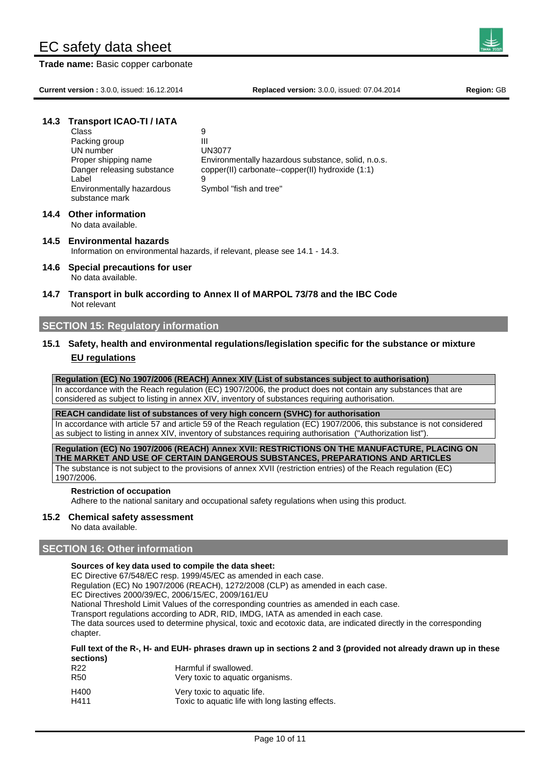**Trade name:** Basic copper carbonate

**Current version :** 3.0.0, issued: 16.12.2014 **Replaced version:** 3.0.0, issued: 07.04.2014 **Region:** GB

# **14.3 Transport ICAO-TI / IATA**

| Class                      | 9                                                  |
|----------------------------|----------------------------------------------------|
| Packing group              | Ш                                                  |
| UN number                  | <b>UN3077</b>                                      |
| Proper shipping name       | Environmentally hazardous substance, solid, n.o.s. |
| Danger releasing substance | copper(II) carbonate--copper(II) hydroxide (1:1)   |
| Label                      | 9                                                  |
| Environmentally hazardous  | Symbol "fish and tree"                             |
| substance mark             |                                                    |
|                            |                                                    |

# **14.4 Other information**

No data available.

### **14.5 Environmental hazards** Information on environmental hazards, if relevant, please see 14.1 - 14.3.

- **14.6 Special precautions for user** No data available.
- **14.7 Transport in bulk according to Annex II of MARPOL 73/78 and the IBC Code** Not relevant

# **SECTION 15: Regulatory information**

# **15.1 Safety, health and environmental regulations/legislation specific for the substance or mixture EU regulations**

**Regulation (EC) No 1907/2006 (REACH) Annex XIV (List of substances subject to authorisation)**  In accordance with the Reach regulation (EC) 1907/2006, the product does not contain any substances that are considered as subject to listing in annex XIV, inventory of substances requiring authorisation.

# **REACH candidate list of substances of very high concern (SVHC) for authorisation**

In accordance with article 57 and article 59 of the Reach regulation (EC) 1907/2006, this substance is not considered as subject to listing in annex XIV, inventory of substances requiring authorisation ("Authorization list").

**Regulation (EC) No 1907/2006 (REACH) Annex XVII: RESTRICTIONS ON THE MANUFACTURE, PLACING ON THE MARKET AND USE OF CERTAIN DANGEROUS SUBSTANCES, PREPARATIONS AND ARTICLES** The substance is not subject to the provisions of annex XVII (restriction entries) of the Reach regulation (EC) 1907/2006.

# **Restriction of occupation**

Adhere to the national sanitary and occupational safety regulations when using this product.

# **15.2 Chemical safety assessment**

No data available.

# **SECTION 16: Other information**

## **Sources of key data used to compile the data sheet:**

EC Directive 67/548/EC resp. 1999/45/EC as amended in each case.

Regulation (EC) No 1907/2006 (REACH), 1272/2008 (CLP) as amended in each case.

EC Directives 2000/39/EC, 2006/15/EC, 2009/161/EU

National Threshold Limit Values of the corresponding countries as amended in each case.

Transport regulations according to ADR, RID, IMDG, IATA as amended in each case.

The data sources used to determine physical, toxic and ecotoxic data, are indicated directly in the corresponding chapter.

**Full text of the R-, H- and EUH- phrases drawn up in sections 2 and 3 (provided not already drawn up in these sections)**

- R22 Harmful if swallowed. R50 Very toxic to aquatic organisms. H400 Very toxic to aquatic life.
- H411 Toxic to aquatic life with long lasting effects.